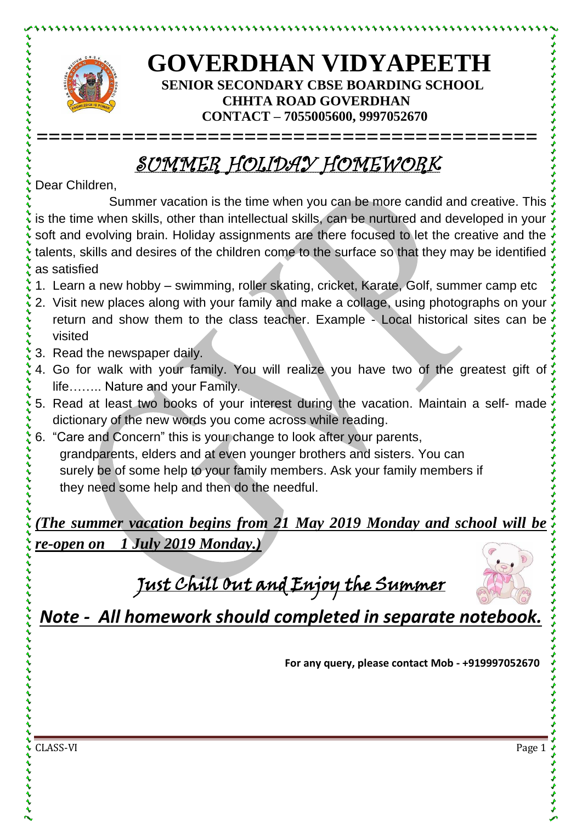

とけけいけいけいけい

## **GOVERDHAN VIDYAPEETH SENIOR SECONDARY CBSE BOARDING SCHOOL CHHTA ROAD GOVERDHAN CONTACT – 7055005600, 9997052670**

## SUMMER HOLIDAY HOMEWORK

**=========================================**

Dear Children,

Summer vacation is the time when you can be more candid and creative. This is the time when skills, other than intellectual skills, can be nurtured and developed in your soft and evolving brain. Holiday assignments are there focused to let the creative and the talents, skills and desires of the children come to the surface so that they may be identified as satisfied

- 1. Learn a new hobby swimming, roller skating, cricket, Karate, Golf, summer camp etc
- 2. Visit new places along with your family and make a collage, using photographs on your return and show them to the class teacher. Example - Local historical sites can be visited
- 3. Read the newspaper daily.
- 4. Go for walk with your family. You will realize you have two of the greatest gift of life…….. Nature and your Family.
- 5. Read at least two books of your interest during the vacation. Maintain a self- made dictionary of the new words you come across while reading.
- 6. "Care and Concern" this is your change to look after your parents, grandparents, elders and at even younger brothers and sisters. You can surely be of some help to your family members. Ask your family members if they need some help and then do the needful.

*(The summer vacation begins from 21 May 2019 Monday and school will be re-open on 1 July 2019 Monday.)*

Just Chill Out and Enjoy the Summer



*Note - All homework should completed in separate notebook.*

**For any query, please contact Mob - +919997052670**

CLASS-VI Page 1